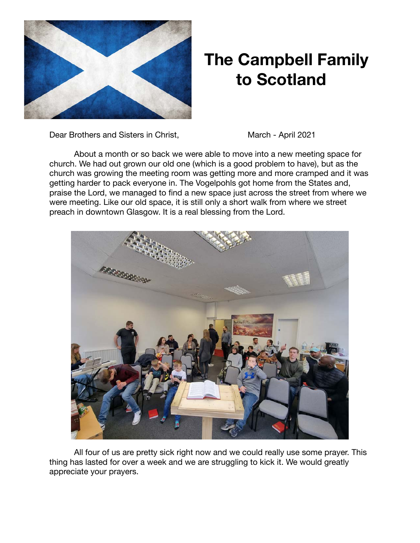

## **The Campbell Family to Scotland**

Dear Brothers and Sisters in Christ, March - April 2021

About a month or so back we were able to move into a new meeting space for church. We had out grown our old one (which is a good problem to have), but as the church was growing the meeting room was getting more and more cramped and it was getting harder to pack everyone in. The Vogelpohls got home from the States and, praise the Lord, we managed to find a new space just across the street from where we were meeting. Like our old space, it is still only a short walk from where we street preach in downtown Glasgow. It is a real blessing from the Lord.



All four of us are pretty sick right now and we could really use some prayer. This thing has lasted for over a week and we are struggling to kick it. We would greatly appreciate your prayers.